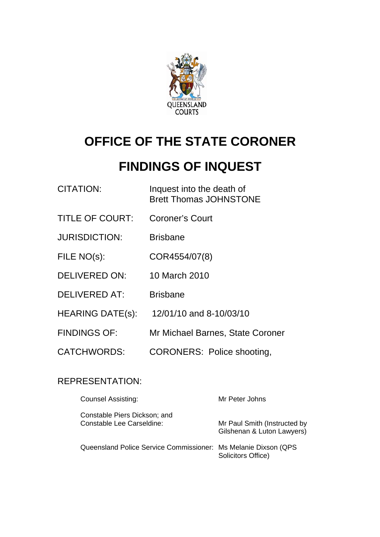

# **OFFICE OF THE STATE CORONER**

# **FINDINGS OF INQUEST**

| <b>CITATION:</b>        | Inquest into the death of<br><b>Brett Thomas JOHNSTONE</b> |
|-------------------------|------------------------------------------------------------|
| <b>TITLE OF COURT:</b>  | <b>Coroner's Court</b>                                     |
| <b>JURISDICTION:</b>    | <b>Brisbane</b>                                            |
| FILE NO(s):             | COR4554/07(8)                                              |
| <b>DELIVERED ON:</b>    | 10 March 2010                                              |
| <b>DELIVERED AT:</b>    | <b>Brisbane</b>                                            |
| <b>HEARING DATE(s):</b> | 12/01/10 and 8-10/03/10                                    |
| <b>FINDINGS OF:</b>     | Mr Michael Barnes, State Coroner                           |
| <b>CATCHWORDS:</b>      | <b>CORONERS: Police shooting,</b>                          |

## REPRESENTATION:

| <b>Counsel Assisting:</b>                                       | Mr Peter Johns                                             |
|-----------------------------------------------------------------|------------------------------------------------------------|
| Constable Piers Dickson; and<br>Constable Lee Carseldine:       | Mr Paul Smith (Instructed by<br>Gilshenan & Luton Lawyers) |
| Queensland Police Service Commissioner: Ms Melanie Dixson (QPS) | Solicitors Office)                                         |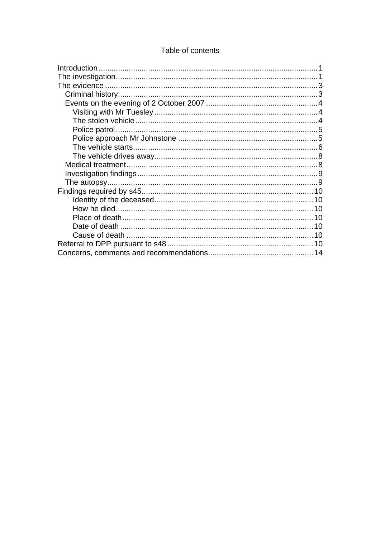### Table of contents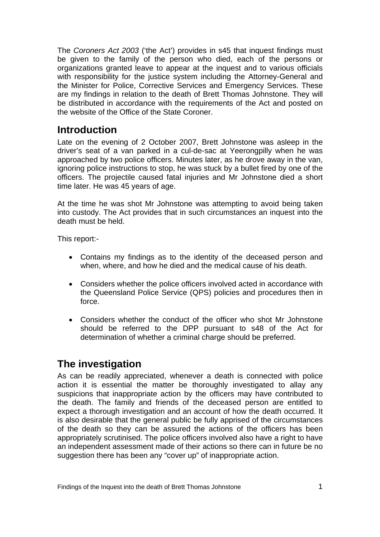<span id="page-2-0"></span>The *Coroners Act 2003* ('the Act') provides in s45 that inquest findings must be given to the family of the person who died, each of the persons or organizations granted leave to appear at the inquest and to various officials with responsibility for the justice system including the Attorney-General and the Minister for Police, Corrective Services and Emergency Services. These are my findings in relation to the death of Brett Thomas Johnstone. They will be distributed in accordance with the requirements of the Act and posted on the website of the Office of the State Coroner.

# **Introduction**

Late on the evening of 2 October 2007, Brett Johnstone was asleep in the driver's seat of a van parked in a cul-de-sac at Yeerongpilly when he was approached by two police officers. Minutes later, as he drove away in the van, ignoring police instructions to stop, he was stuck by a bullet fired by one of the officers. The projectile caused fatal injuries and Mr Johnstone died a short time later. He was 45 years of age.

At the time he was shot Mr Johnstone was attempting to avoid being taken into custody. The Act provides that in such circumstances an inquest into the death must be held.

This report:-

- Contains my findings as to the identity of the deceased person and when, where, and how he died and the medical cause of his death.
- Considers whether the police officers involved acted in accordance with the Queensland Police Service (QPS) policies and procedures then in force.
- Considers whether the conduct of the officer who shot Mr Johnstone should be referred to the DPP pursuant to s48 of the Act for determination of whether a criminal charge should be preferred.

# **The investigation**

As can be readily appreciated, whenever a death is connected with police action it is essential the matter be thoroughly investigated to allay any suspicions that inappropriate action by the officers may have contributed to the death. The family and friends of the deceased person are entitled to expect a thorough investigation and an account of how the death occurred. It is also desirable that the general public be fully apprised of the circumstances of the death so they can be assured the actions of the officers has been appropriately scrutinised. The police officers involved also have a right to have an independent assessment made of their actions so there can in future be no suggestion there has been any "cover up" of inappropriate action.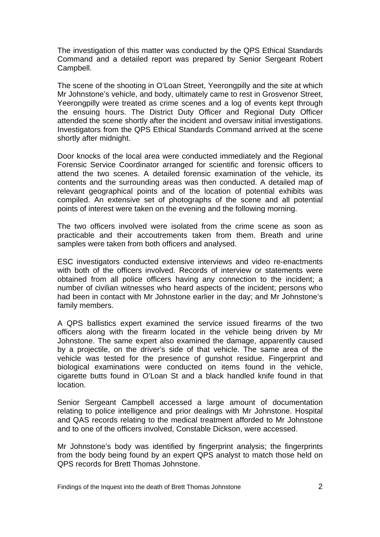The investigation of this matter was conducted by the QPS Ethical Standards Command and a detailed report was prepared by Senior Sergeant Robert Campbell.

The scene of the shooting in O'Loan Street, Yeerongpilly and the site at which Mr Johnstone's vehicle, and body, ultimately came to rest in Grosvenor Street, Yeerongpilly were treated as crime scenes and a log of events kept through the ensuing hours. The District Duty Officer and Regional Duty Officer attended the scene shortly after the incident and oversaw initial investigations. Investigators from the QPS Ethical Standards Command arrived at the scene shortly after midnight.

Door knocks of the local area were conducted immediately and the Regional Forensic Service Coordinator arranged for scientific and forensic officers to attend the two scenes. A detailed forensic examination of the vehicle, its contents and the surrounding areas was then conducted. A detailed map of relevant geographical points and of the location of potential exhibits was compiled. An extensive set of photographs of the scene and all potential points of interest were taken on the evening and the following morning.

The two officers involved were isolated from the crime scene as soon as practicable and their accoutrements taken from them. Breath and urine samples were taken from both officers and analysed.

ESC investigators conducted extensive interviews and video re-enactments with both of the officers involved. Records of interview or statements were obtained from all police officers having any connection to the incident; a number of civilian witnesses who heard aspects of the incident; persons who had been in contact with Mr Johnstone earlier in the day; and Mr Johnstone's family members.

A QPS ballistics expert examined the service issued firearms of the two officers along with the firearm located in the vehicle being driven by Mr Johnstone. The same expert also examined the damage, apparently caused by a projectile, on the driver's side of that vehicle. The same area of the vehicle was tested for the presence of gunshot residue. Fingerprint and biological examinations were conducted on items found in the vehicle, cigarette butts found in O'Loan St and a black handled knife found in that location.

Senior Sergeant Campbell accessed a large amount of documentation relating to police intelligence and prior dealings with Mr Johnstone. Hospital and QAS records relating to the medical treatment afforded to Mr Johnstone and to one of the officers involved, Constable Dickson, were accessed.

Mr Johnstone's body was identified by fingerprint analysis; the fingerprints from the body being found by an expert QPS analyst to match those held on QPS records for Brett Thomas Johnstone.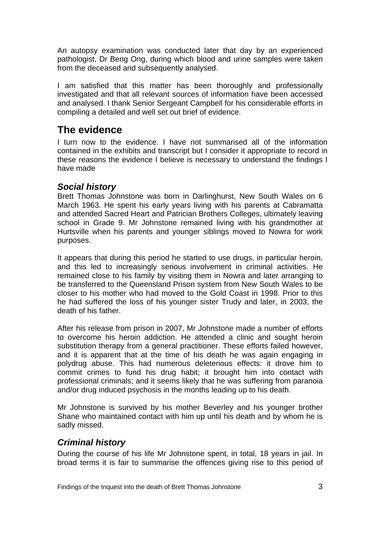<span id="page-4-0"></span>An autopsy examination was conducted later that day by an experienced pathologist, Dr Beng Ong, during which blood and urine samples were taken from the deceased and subsequently analysed.

I am satisfied that this matter has been thoroughly and professionally investigated and that all relevant sources of information have been accessed and analysed. I thank Senior Sergeant Campbell for his considerable efforts in compiling a detailed and well set out brief of evidence.

# **The evidence**

I turn now to the evidence. I have not summarised all of the information contained in the exhibits and transcript but I consider it appropriate to record in these reasons the evidence I believe is necessary to understand the findings I have made

### *Social history*

Brett Thomas Johnstone was born in Darlinghurst, New South Wales on 6 March 1963. He spent his early years living with his parents at Cabramatta and attended Sacred Heart and Patrician Brothers Colleges, ultimately leaving school in Grade 9. Mr Johnstone remained living with his grandmother at Hurtsville when his parents and younger siblings moved to Nowra for work purposes.

It appears that during this period he started to use drugs, in particular heroin, and this led to increasingly serious involvement in criminal activities. He remained close to his family by visiting them in Nowra and later arranging to be transferred to the Queensland Prison system from New South Wales to be closer to his mother who had moved to the Gold Coast in 1998. Prior to this he had suffered the loss of his younger sister Trudy and later, in 2003, the death of his father.

After his release from prison in 2007, Mr Johnstone made a number of efforts to overcome his heroin addiction. He attended a clinic and sought heroin substitution therapy from a general practitioner. These efforts failed however, and it is apparent that at the time of his death he was again engaging in polydrug abuse. This had numerous deleterious effects: it drove him to commit crimes to fund his drug habit; it brought him into contact with professional criminals; and it seems likely that he was suffering from paranoia and/or drug induced psychosis in the months leading up to his death.

Mr Johnstone is survived by his mother Beverley and his younger brother Shane who maintained contact with him up until his death and by whom he is sadly missed.

## *Criminal history*

During the course of his life Mr Johnstone spent, in total, 18 years in jail. In broad terms it is fair to summarise the offences giving rise to this period of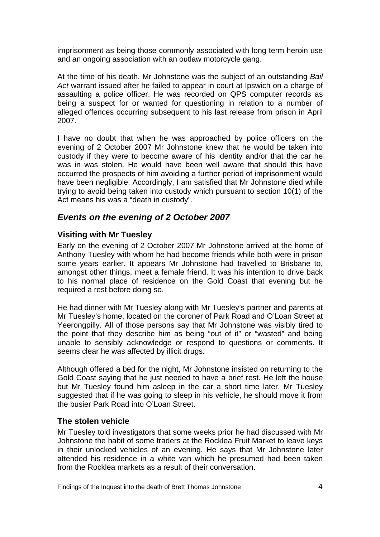<span id="page-5-0"></span>imprisonment as being those commonly associated with long term heroin use and an ongoing association with an outlaw motorcycle gang.

At the time of his death, Mr Johnstone was the subject of an outstanding *Bail*  Act warrant issued after he failed to appear in court at Ipswich on a charge of assaulting a police officer. He was recorded on QPS computer records as being a suspect for or wanted for questioning in relation to a number of alleged offences occurring subsequent to his last release from prison in April 2007.

I have no doubt that when he was approached by police officers on the evening of 2 October 2007 Mr Johnstone knew that he would be taken into custody if they were to become aware of his identity and/or that the car he was in was stolen. He would have been well aware that should this have occurred the prospects of him avoiding a further period of imprisonment would have been negligible. Accordingly, I am satisfied that Mr Johnstone died while trying to avoid being taken into custody which pursuant to section 10(1) of the Act means his was a "death in custody".

### *Events on the evening of 2 October 2007*

#### **Visiting with Mr Tuesley**

Early on the evening of 2 October 2007 Mr Johnstone arrived at the home of Anthony Tuesley with whom he had become friends while both were in prison some years earlier. It appears Mr Johnstone had travelled to Brisbane to, amongst other things, meet a female friend. It was his intention to drive back to his normal place of residence on the Gold Coast that evening but he required a rest before doing so.

He had dinner with Mr Tuesley along with Mr Tuesley's partner and parents at Mr Tuesley's home, located on the coroner of Park Road and O'Loan Street at Yeerongpilly. All of those persons say that Mr Johnstone was visibly tired to the point that they describe him as being "out of it" or "wasted" and being unable to sensibly acknowledge or respond to questions or comments. It seems clear he was affected by illicit drugs.

Although offered a bed for the night, Mr Johnstone insisted on returning to the Gold Coast saying that he just needed to have a brief rest. He left the house but Mr Tuesley found him asleep in the car a short time later. Mr Tuesley suggested that if he was going to sleep in his vehicle, he should move it from the busier Park Road into O'Loan Street.

#### **The stolen vehicle**

Mr Tuesley told investigators that some weeks prior he had discussed with Mr Johnstone the habit of some traders at the Rocklea Fruit Market to leave keys in their unlocked vehicles of an evening. He says that Mr Johnstone later attended his residence in a white van which he presumed had been taken from the Rocklea markets as a result of their conversation.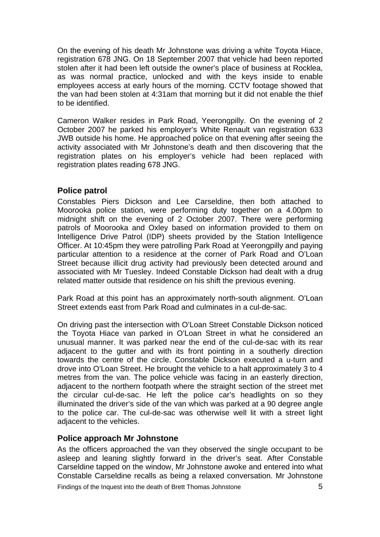<span id="page-6-0"></span>On the evening of his death Mr Johnstone was driving a white Toyota Hiace, registration 678 JNG. On 18 September 2007 that vehicle had been reported stolen after it had been left outside the owner's place of business at Rocklea, as was normal practice, unlocked and with the keys inside to enable employees access at early hours of the morning. CCTV footage showed that the van had been stolen at 4:31am that morning but it did not enable the thief to be identified.

Cameron Walker resides in Park Road, Yeerongpilly. On the evening of 2 October 2007 he parked his employer's White Renault van registration 633 JWB outside his home. He approached police on that evening after seeing the activity associated with Mr Johnstone's death and then discovering that the registration plates on his employer's vehicle had been replaced with registration plates reading 678 JNG.

#### **Police patrol**

Constables Piers Dickson and Lee Carseldine, then both attached to Moorooka police station, were performing duty together on a 4.00pm to midnight shift on the evening of 2 October 2007. There were performing patrols of Moorooka and Oxley based on information provided to them on Intelligence Drive Patrol (IDP) sheets provided by the Station Intelligence Officer. At 10:45pm they were patrolling Park Road at Yeerongpilly and paying particular attention to a residence at the corner of Park Road and O'Loan Street because illicit drug activity had previously been detected around and associated with Mr Tuesley. Indeed Constable Dickson had dealt with a drug related matter outside that residence on his shift the previous evening.

Park Road at this point has an approximately north-south alignment. O'Loan Street extends east from Park Road and culminates in a cul-de-sac.

On driving past the intersection with O'Loan Street Constable Dickson noticed the Toyota Hiace van parked in O'Loan Street in what he considered an unusual manner. It was parked near the end of the cul-de-sac with its rear adjacent to the gutter and with its front pointing in a southerly direction towards the centre of the circle. Constable Dickson executed a u-turn and drove into O'Loan Street. He brought the vehicle to a halt approximately 3 to 4 metres from the van. The police vehicle was facing in an easterly direction, adjacent to the northern footpath where the straight section of the street met the circular cul-de-sac. He left the police car's headlights on so they illuminated the driver's side of the van which was parked at a 90 degree angle to the police car. The cul-de-sac was otherwise well lit with a street light adjacent to the vehicles.

#### **Police approach Mr Johnstone**

As the officers approached the van they observed the single occupant to be asleep and leaning slightly forward in the driver's seat. After Constable Carseldine tapped on the window, Mr Johnstone awoke and entered into what Constable Carseldine recalls as being a relaxed conversation. Mr Johnstone

Findings of the Inquest into the death of Brett Thomas Johnstone **5**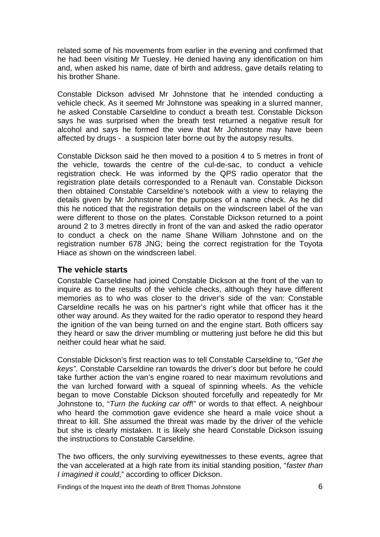<span id="page-7-0"></span>related some of his movements from earlier in the evening and confirmed that he had been visiting Mr Tuesley. He denied having any identification on him and, when asked his name, date of birth and address, gave details relating to his brother Shane.

Constable Dickson advised Mr Johnstone that he intended conducting a vehicle check. As it seemed Mr Johnstone was speaking in a slurred manner, he asked Constable Carseldine to conduct a breath test. Constable Dickson says he was surprised when the breath test returned a negative result for alcohol and says he formed the view that Mr Johnstone may have been affected by drugs - a suspicion later borne out by the autopsy results.

Constable Dickson said he then moved to a position 4 to 5 metres in front of the vehicle, towards the centre of the cul-de-sac, to conduct a vehicle registration check. He was informed by the QPS radio operator that the registration plate details corresponded to a Renault van. Constable Dickson then obtained Constable Carseldine's notebook with a view to relaying the details given by Mr Johnstone for the purposes of a name check. As he did this he noticed that the registration details on the windscreen label of the van were different to those on the plates. Constable Dickson returned to a point around 2 to 3 metres directly in front of the van and asked the radio operator to conduct a check on the name Shane William Johnstone and on the registration number 678 JNG; being the correct registration for the Toyota Hiace as shown on the windscreen label.

#### **The vehicle starts**

Constable Carseldine had joined Constable Dickson at the front of the van to inquire as to the results of the vehicle checks, although they have different memories as to who was closer to the driver's side of the van: Constable Carseldine recalls he was on his partner's right while that officer has it the other way around. As they waited for the radio operator to respond they heard the ignition of the van being turned on and the engine start. Both officers say they heard or saw the driver mumbling or muttering just before he did this but neither could hear what he said.

Constable Dickson's first reaction was to tell Constable Carseldine to, "*Get the keys"*. Constable Carseldine ran towards the driver's door but before he could take further action the van's engine roared to near maximum revolutions and the van lurched forward with a squeal of spinning wheels. As the vehicle began to move Constable Dickson shouted forcefully and repeatedly for Mr Johnstone to, "*Turn the fucking car off*!" or words to that effect. A neighbour who heard the commotion gave evidence she heard a male voice shout a threat to kill. She assumed the threat was made by the driver of the vehicle but she is clearly mistaken. It is likely she heard Constable Dickson issuing the instructions to Constable Carseldine.

The two officers, the only surviving eyewitnesses to these events, agree that the van accelerated at a high rate from its initial standing position, "*faster than I imagined it could*," according to officer Dickson.

Findings of the Inquest into the death of Brett Thomas Johnstone 6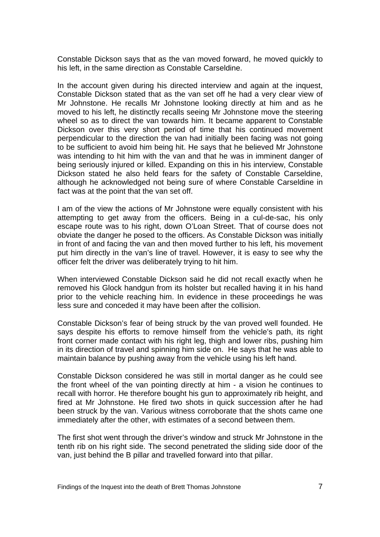Constable Dickson says that as the van moved forward, he moved quickly to his left, in the same direction as Constable Carseldine.

In the account given during his directed interview and again at the inquest, Constable Dickson stated that as the van set off he had a very clear view of Mr Johnstone. He recalls Mr Johnstone looking directly at him and as he moved to his left, he distinctly recalls seeing Mr Johnstone move the steering wheel so as to direct the van towards him. It became apparent to Constable Dickson over this very short period of time that his continued movement perpendicular to the direction the van had initially been facing was not going to be sufficient to avoid him being hit. He says that he believed Mr Johnstone was intending to hit him with the van and that he was in imminent danger of being seriously injured or killed. Expanding on this in his interview, Constable Dickson stated he also held fears for the safety of Constable Carseldine, although he acknowledged not being sure of where Constable Carseldine in fact was at the point that the van set off.

I am of the view the actions of Mr Johnstone were equally consistent with his attempting to get away from the officers. Being in a cul-de-sac, his only escape route was to his right, down O'Loan Street. That of course does not obviate the danger he posed to the officers. As Constable Dickson was initially in front of and facing the van and then moved further to his left, his movement put him directly in the van's line of travel. However, it is easy to see why the officer felt the driver was deliberately trying to hit him.

When interviewed Constable Dickson said he did not recall exactly when he removed his Glock handgun from its holster but recalled having it in his hand prior to the vehicle reaching him. In evidence in these proceedings he was less sure and conceded it may have been after the collision.

Constable Dickson's fear of being struck by the van proved well founded. He says despite his efforts to remove himself from the vehicle's path, its right front corner made contact with his right leg, thigh and lower ribs, pushing him in its direction of travel and spinning him side on. He says that he was able to maintain balance by pushing away from the vehicle using his left hand.

Constable Dickson considered he was still in mortal danger as he could see the front wheel of the van pointing directly at him - a vision he continues to recall with horror. He therefore bought his gun to approximately rib height, and fired at Mr Johnstone. He fired two shots in quick succession after he had been struck by the van. Various witness corroborate that the shots came one immediately after the other, with estimates of a second between them.

The first shot went through the driver's window and struck Mr Johnstone in the tenth rib on his right side. The second penetrated the sliding side door of the van, just behind the B pillar and travelled forward into that pillar.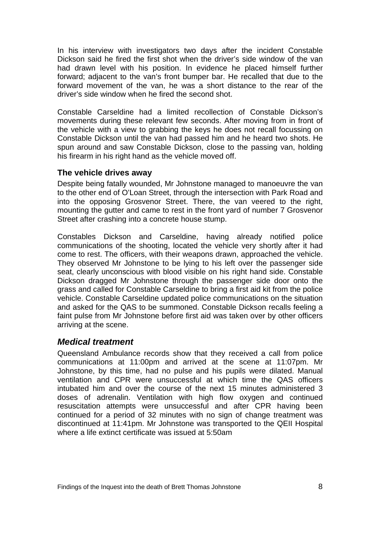<span id="page-9-0"></span>In his interview with investigators two days after the incident Constable Dickson said he fired the first shot when the driver's side window of the van had drawn level with his position. In evidence he placed himself further forward; adjacent to the van's front bumper bar. He recalled that due to the forward movement of the van, he was a short distance to the rear of the driver's side window when he fired the second shot.

Constable Carseldine had a limited recollection of Constable Dickson's movements during these relevant few seconds. After moving from in front of the vehicle with a view to grabbing the keys he does not recall focussing on Constable Dickson until the van had passed him and he heard two shots. He spun around and saw Constable Dickson, close to the passing van, holding his firearm in his right hand as the vehicle moved off.

#### **The vehicle drives away**

Despite being fatally wounded, Mr Johnstone managed to manoeuvre the van to the other end of O'Loan Street, through the intersection with Park Road and into the opposing Grosvenor Street. There, the van veered to the right, mounting the gutter and came to rest in the front yard of number 7 Grosvenor Street after crashing into a concrete house stump.

Constables Dickson and Carseldine, having already notified police communications of the shooting, located the vehicle very shortly after it had come to rest. The officers, with their weapons drawn, approached the vehicle. They observed Mr Johnstone to be lying to his left over the passenger side seat, clearly unconscious with blood visible on his right hand side. Constable Dickson dragged Mr Johnstone through the passenger side door onto the grass and called for Constable Carseldine to bring a first aid kit from the police vehicle. Constable Carseldine updated police communications on the situation and asked for the QAS to be summoned. Constable Dickson recalls feeling a faint pulse from Mr Johnstone before first aid was taken over by other officers arriving at the scene.

### *Medical treatment*

Queensland Ambulance records show that they received a call from police communications at 11:00pm and arrived at the scene at 11:07pm. Mr Johnstone, by this time, had no pulse and his pupils were dilated. Manual ventilation and CPR were unsuccessful at which time the QAS officers intubated him and over the course of the next 15 minutes administered 3 doses of adrenalin. Ventilation with high flow oxygen and continued resuscitation attempts were unsuccessful and after CPR having been continued for a period of 32 minutes with no sign of change treatment was discontinued at 11:41pm. Mr Johnstone was transported to the QEII Hospital where a life extinct certificate was issued at 5:50am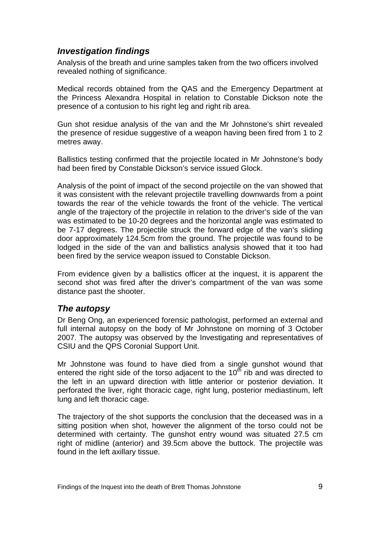## <span id="page-10-0"></span>*Investigation findings*

Analysis of the breath and urine samples taken from the two officers involved revealed nothing of significance.

Medical records obtained from the QAS and the Emergency Department at the Princess Alexandra Hospital in relation to Constable Dickson note the presence of a contusion to his right leg and right rib area.

Gun shot residue analysis of the van and the Mr Johnstone's shirt revealed the presence of residue suggestive of a weapon having been fired from 1 to 2 metres away.

Ballistics testing confirmed that the projectile located in Mr Johnstone's body had been fired by Constable Dickson's service issued Glock.

Analysis of the point of impact of the second projectile on the van showed that it was consistent with the relevant projectile travelling downwards from a point towards the rear of the vehicle towards the front of the vehicle. The vertical angle of the trajectory of the projectile in relation to the driver's side of the van was estimated to be 10-20 degrees and the horizontal angle was estimated to be 7-17 degrees. The projectile struck the forward edge of the van's sliding door approximately 124.5cm from the ground. The projectile was found to be lodged in the side of the van and ballistics analysis showed that it too had been fired by the service weapon issued to Constable Dickson.

From evidence given by a ballistics officer at the inquest, it is apparent the second shot was fired after the driver's compartment of the van was some distance past the shooter.

### *The autopsy*

Dr Beng Ong, an experienced forensic pathologist, performed an external and full internal autopsy on the body of Mr Johnstone on morning of 3 October 2007. The autopsy was observed by the Investigating and representatives of CSIU and the QPS Coronial Support Unit.

Mr Johnstone was found to have died from a single gunshot wound that entered the right side of the torso adjacent to the  $10<sup>th</sup>$  rib and was directed to the left in an upward direction with little anterior or posterior deviation. It perforated the liver, right thoracic cage, right lung, posterior mediastinum, left lung and left thoracic cage.

The trajectory of the shot supports the conclusion that the deceased was in a sitting position when shot, however the alignment of the torso could not be determined with certainty. The gunshot entry wound was situated 27.5 cm right of midline (anterior) and 39.5cm above the buttock. The projectile was found in the left axillary tissue.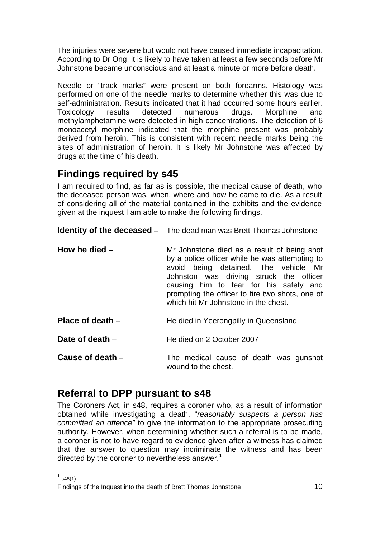<span id="page-11-0"></span>The injuries were severe but would not have caused immediate incapacitation. According to Dr Ong, it is likely to have taken at least a few seconds before Mr Johnstone became unconscious and at least a minute or more before death.

Needle or "track marks" were present on both forearms. Histology was performed on one of the needle marks to determine whether this was due to self-administration. Results indicated that it had occurred some hours earlier. Toxicology results detected numerous drugs. Morphine and methylamphetamine were detected in high concentrations. The detection of 6 monoacetyl morphine indicated that the morphine present was probably derived from heroin. This is consistent with recent needle marks being the sites of administration of heroin. It is likely Mr Johnstone was affected by drugs at the time of his death.

# **Findings required by s45**

I am required to find, as far as is possible, the medical cause of death, who the deceased person was, when, where and how he came to die. As a result of considering all of the material contained in the exhibits and the evidence given at the inquest I am able to make the following findings.

**Identity of the deceased** – The dead man was Brett Thomas Johnstone

| How he died $-$ | Mr Johnstone died as a result of being shot<br>by a police officer while he was attempting to<br>avoid being detained. The vehicle Mr<br>Johnston was driving struck the officer<br>causing him to fear for his safety and<br>prompting the officer to fire two shots, one of<br>which hit Mr Johnstone in the chest. |
|-----------------|-----------------------------------------------------------------------------------------------------------------------------------------------------------------------------------------------------------------------------------------------------------------------------------------------------------------------|
|                 |                                                                                                                                                                                                                                                                                                                       |

**Place of death** – **He died in Yeerongpilly in Queensland** 

**Date of death** – He died on 2 October 2007

**Cause of death** – The medical cause of death was gunshot wound to the chest.

# **Referral to DPP pursuant to s48**

The Coroners Act, in s48, requires a coroner who, as a result of information obtained while investigating a death, "*reasonably suspects a person has committed an offence"* to give the information to the appropriate prosecuting authority. However, when determining whether such a referral is to be made, a coroner is not to have regard to evidence given after a witness has claimed that the answer to question may incriminate the witness and has been directed by the coroner to nevertheless answer.<sup>[1](#page-11-1)</sup>

  $1$  s48(1)

<span id="page-11-1"></span>Findings of the Inquest into the death of Brett Thomas Johnstone 10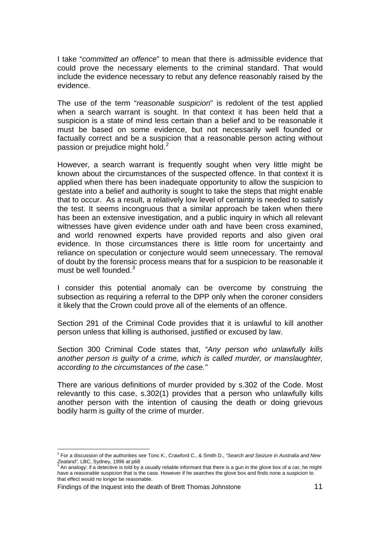I take "*committed an offence*" to mean that there is admissible evidence that could prove the necessary elements to the criminal standard. That would include the evidence necessary to rebut any defence reasonably raised by the evidence.

The use of the term "*reasonable suspicion*" is redolent of the test applied when a search warrant is sought. In that context it has been held that a suspicion is a state of mind less certain than a belief and to be reasonable it must be based on some evidence, but not necessarily well founded or factually correct and be a suspicion that a reasonable person acting without passion or prejudice might hold.<sup>[2](#page-12-0)</sup>

However, a search warrant is frequently sought when very little might be known about the circumstances of the suspected offence. In that context it is applied when there has been inadequate opportunity to allow the suspicion to gestate into a belief and authority is sought to take the steps that might enable that to occur. As a result, a relatively low level of certainty is needed to satisfy the test. It seems incongruous that a similar approach be taken when there has been an extensive investigation, and a public inquiry in which all relevant witnesses have given evidence under oath and have been cross examined, and world renowned experts have provided reports and also given oral evidence. In those circumstances there is little room for uncertainty and reliance on speculation or conjecture would seem unnecessary. The removal of doubt by the forensic process means that for a suspicion to be reasonable it must be well founded. $3$ 

I consider this potential anomaly can be overcome by construing the subsection as requiring a referral to the DPP only when the coroner considers it likely that the Crown could prove all of the elements of an offence.

Section 291 of the Criminal Code provides that it is unlawful to kill another person unless that killing is authorised, justified or excused by law.

Section 300 Criminal Code states that, *"Any person who unlawfully kills another person is guilty of a crime, which is called murder, or manslaughter, according to the circumstances of the case."* 

There are various definitions of murder provided by s.302 of the Code. Most relevantly to this case, s.302(1) provides that a person who unlawfully kills another person with the intention of causing the death or doing grievous bodily harm is guilty of the crime of murder.

Findings of the Inquest into the death of Brett Thomas Johnstone 11

<span id="page-12-0"></span><sup>2</sup> For a discussion of the authorities see Tonc K., Crawford C., & Smith D., *"Search and Seizure in Australia and New Zealand",* LBC, Sydney, 1996 at p68<br><sup>3</sup> An analogy: if a detective is told by a usually reliable informant that there is a gun in the glove box of a car, he might

<span id="page-12-1"></span>have a reasonable suspicion that is the case. However if he searches the glove box and finds none a suspicion to that effect would no longer be reasonable.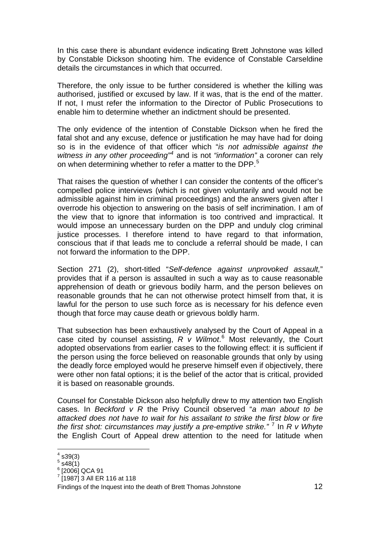In this case there is abundant evidence indicating Brett Johnstone was killed by Constable Dickson shooting him. The evidence of Constable Carseldine details the circumstances in which that occurred.

Therefore, the only issue to be further considered is whether the killing was authorised, justified or excused by law. If it was, that is the end of the matter. If not, I must refer the information to the Director of Public Prosecutions to enable him to determine whether an indictment should be presented.

The only evidence of the intention of Constable Dickson when he fired the fatal shot and any excuse, defence or justification he may have had for doing so is in the evidence of that officer which "*is not admissible against the witness in any other proceeding"[4](#page-13-0)* and is not *"information"* a coroner can rely on when determining whether to refer a matter to the DPP.<sup>[5](#page-13-1)</sup>

That raises the question of whether I can consider the contents of the officer's compelled police interviews (which is not given voluntarily and would not be admissible against him in criminal proceedings) and the answers given after I overrode his objection to answering on the basis of self incrimination. I am of the view that to ignore that information is too contrived and impractical. It would impose an unnecessary burden on the DPP and unduly clog criminal justice processes. I therefore intend to have regard to that information, conscious that if that leads me to conclude a referral should be made, I can not forward the information to the DPP.

Section 271 (2), short-titled "*Self-defence against unprovoked assault,*" provides that if a person is assaulted in such a way as to cause reasonable apprehension of death or grievous bodily harm, and the person believes on reasonable grounds that he can not otherwise protect himself from that, it is lawful for the person to use such force as is necessary for his defence even though that force may cause death or grievous boldly harm.

That subsection has been exhaustively analysed by the Court of Appeal in a case cited by counsel assisting,  $R$   $V$  Wilmot.<sup>[6](#page-13-2)</sup> Most relevantly, the Court adopted observations from earlier cases to the following effect: it is sufficient if the person using the force believed on reasonable grounds that only by using the deadly force employed would he preserve himself even if objectively, there were other non fatal options; it is the belief of the actor that is critical, provided it is based on reasonable grounds.

Counsel for Constable Dickson also helpfully drew to my attention two English cases. In *Beckford v R* the Privy Council observed "*a man about to be attacked does not have to wait for his assailant to strike the first blow or fire*  the first shot: circumstances may justify a pre-emptive strike."<sup>[7](#page-13-3)</sup> In R v Whyte the English Court of Appeal drew attention to the need for latitude when

<span id="page-13-0"></span> $4 \overline{)39(3)}$ 

<span id="page-13-1"></span> $5$  s48 $(1)$ 

<span id="page-13-2"></span> $^6$  [2006] QCA 91

<span id="page-13-3"></span> $\frac{7}{1}$ [1987] 3 All ER 116 at 118

Findings of the Inquest into the death of Brett Thomas Johnstone 12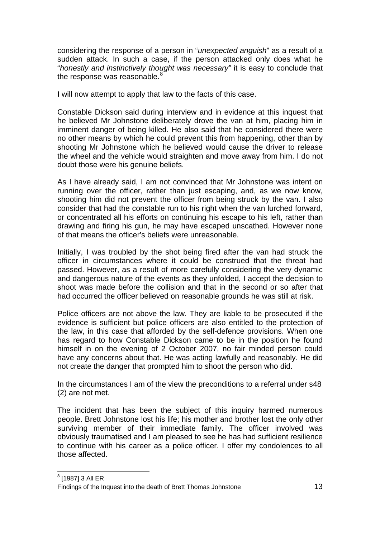considering the response of a person in "*unexpected anguish*" as a result of a sudden attack. In such a case, if the person attacked only does what he "*honestly and instinctively thought was necessary"* it is easy to conclude that the response was reasonable. $8$ 

I will now attempt to apply that law to the facts of this case.

Constable Dickson said during interview and in evidence at this inquest that he believed Mr Johnstone deliberately drove the van at him, placing him in imminent danger of being killed. He also said that he considered there were no other means by which he could prevent this from happening, other than by shooting Mr Johnstone which he believed would cause the driver to release the wheel and the vehicle would straighten and move away from him. I do not doubt those were his genuine beliefs.

As I have already said, I am not convinced that Mr Johnstone was intent on running over the officer, rather than just escaping, and, as we now know, shooting him did not prevent the officer from being struck by the van. I also consider that had the constable run to his right when the van lurched forward, or concentrated all his efforts on continuing his escape to his left, rather than drawing and firing his gun, he may have escaped unscathed. However none of that means the officer's beliefs were unreasonable.

Initially, I was troubled by the shot being fired after the van had struck the officer in circumstances where it could be construed that the threat had passed. However, as a result of more carefully considering the very dynamic and dangerous nature of the events as they unfolded, I accept the decision to shoot was made before the collision and that in the second or so after that had occurred the officer believed on reasonable grounds he was still at risk.

Police officers are not above the law. They are liable to be prosecuted if the evidence is sufficient but police officers are also entitled to the protection of the law, in this case that afforded by the self-defence provisions. When one has regard to how Constable Dickson came to be in the position he found himself in on the evening of 2 October 2007, no fair minded person could have any concerns about that. He was acting lawfully and reasonably. He did not create the danger that prompted him to shoot the person who did.

In the circumstances I am of the view the preconditions to a referral under s48 (2) are not met.

The incident that has been the subject of this inquiry harmed numerous people. Brett Johnstone lost his life; his mother and brother lost the only other surviving member of their immediate family. The officer involved was obviously traumatised and I am pleased to see he has had sufficient resilience to continue with his career as a police officer. I offer my condolences to all those affected.

<span id="page-14-0"></span>